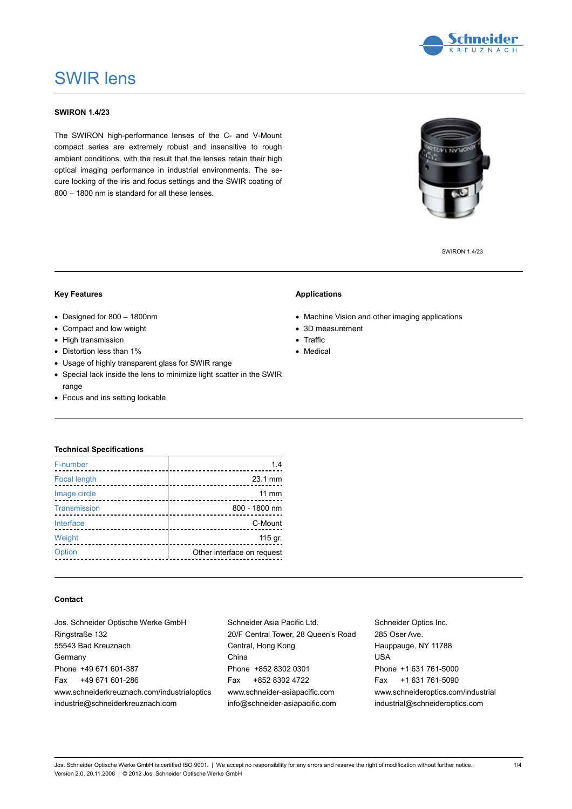

## SWIR lens

### **SWIRON 1.4/23**

The SWIRON high-performance lenses of the C- and V-Mount compact series are extremely robust and insensitive to rough ambient conditions, with the result that the lenses retain their high optical imaging performance in industrial environments. The secure locking of the iris and focus settings and the SWIR coating of 800 – 1800 nm is standard for all these lenses.

SWIRON 1.4/23

#### **Key Features**

- Designed for 800 1800nm
- Compact and low weight
- High transmission
- Distortion less than 1%
- Usage of highly transparent glass for SWIR range
- Special lack inside the lens to minimize light scatter in the SWIR range
- Focus and iris setting lockable

#### **Applications**

- Machine Vision and other imaging applications
- 3D measurement
- Traffic
- Medical

#### **Technical Specifications**

| F-number            | 1.4                              |
|---------------------|----------------------------------|
| <b>Focal length</b> | 23.1 mm                          |
| Image circle        | $11 \text{ mm}$                  |
| Transmission        | 800 - 1800 nm                    |
| Interface           | C-Mount<br>_____________________ |
| Weight              | 115 gr.                          |
| Option              | Other interface on request       |
|                     |                                  |

#### **Contact**

| Jos. Schneider Optische Werke GmbH          |  |  |  |  |  |
|---------------------------------------------|--|--|--|--|--|
| Ringstraße 132                              |  |  |  |  |  |
| 55543 Bad Kreuznach                         |  |  |  |  |  |
| Germany                                     |  |  |  |  |  |
| Phone +49 671 601-387                       |  |  |  |  |  |
| Fax +49 671 601-286                         |  |  |  |  |  |
| www.schneiderkreuznach.com/industrialoptics |  |  |  |  |  |
| industrie@schneiderkreuznach.com            |  |  |  |  |  |

Schneider Asia Pacific Ltd. 20/F Central Tower, 28 Queen's Road Central, Hong Kong China Phone +852 8302 0301 Fax +852 8302 4722 www.schneider-asiapacific.com info@schneider-asiapacific.com

Schneider Optics Inc. 285 Oser Ave. Hauppauge, NY 11788 USA Phone +1 631 761-5000 Fax +1 631 761-5090 www.schneideroptics.com/industrial industrial@schneideroptics.com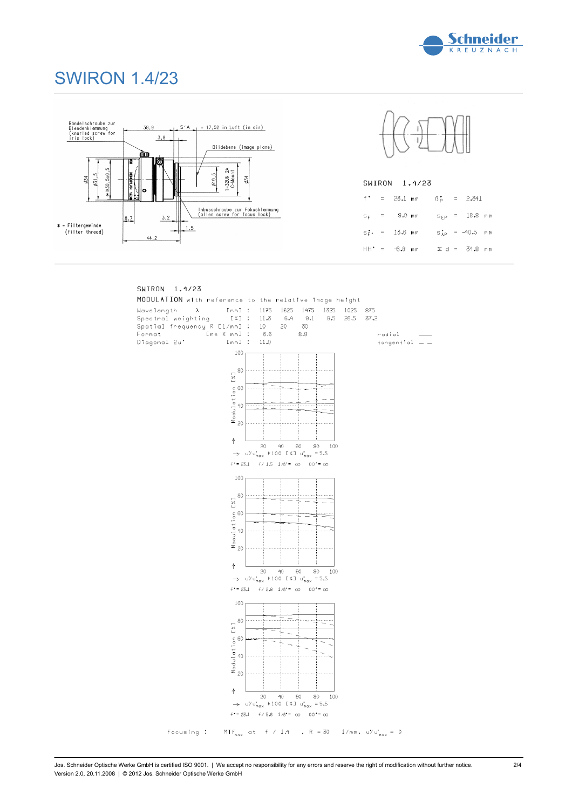

# SWIRON 1.4/23





|  |  | SWIRON 1.4/23                                                 |  |  |
|--|--|---------------------------------------------------------------|--|--|
|  |  | $f' = 23.1$ mm $\beta_0 = 2.341$                              |  |  |
|  |  | s <sub>r</sub> = 9.0 mm s <sub>rp</sub> = 18.8 mm             |  |  |
|  |  | $s_{\rm F}^{\star}$ = 13.6 mm $s_{\rm AP}^{\star}$ = -40.5 mm |  |  |
|  |  | HH' = −6,8 mm      Σd  =   34,8 mm                            |  |  |
|  |  |                                                               |  |  |

#### SWIRON 1.4/23

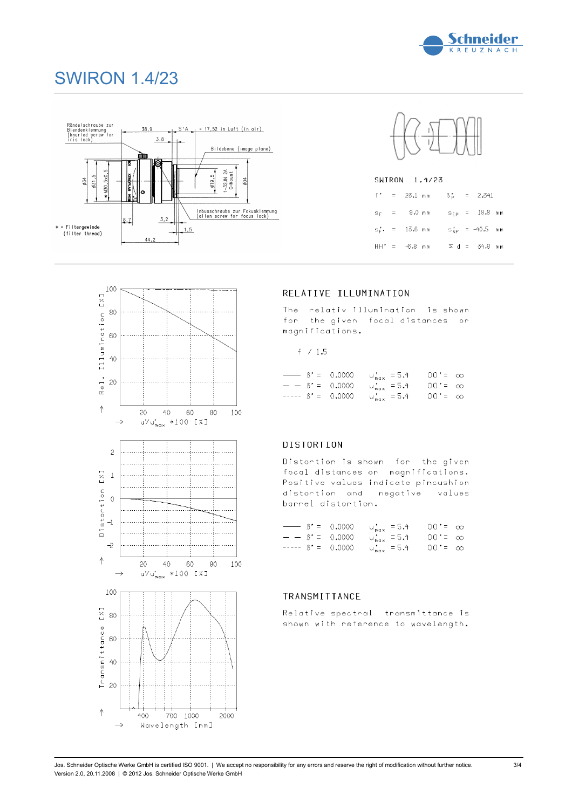

# SWIRON 1.4/23





| SWIRON | 1.4/23 |
|--------|--------|
|        |        |

|  |  |  | $f' = 23.1$ mm $\beta_p^* = 2.341$        |  |
|--|--|--|-------------------------------------------|--|
|  |  |  | $s_F$ = 9.0 mm $s_{EP}$ = 18.8 mm         |  |
|  |  |  | $s_F^*$ , = 13.6 mm $s_{AP}^*$ = -40.5 mm |  |
|  |  |  | HH' = $-6.8$ mm $\geq d = 34.8$ mm        |  |

### RELATIVE ILLUMINATION

The relativ illumination is shown for the given focal distances or magnifications.

$$
\pm \ \ / \ 1.5
$$

|  | $\frac{1}{2}$ $\frac{1}{2}$ $\frac{1}{2}$ $\frac{1}{2}$ $\frac{1}{2}$ $\frac{1}{2}$ $\frac{1}{2}$ $\frac{1}{2}$ $\frac{1}{2}$ $\frac{1}{2}$ $\frac{1}{2}$ $\frac{1}{2}$ $\frac{1}{2}$ $\frac{1}{2}$ $\frac{1}{2}$ $\frac{1}{2}$ $\frac{1}{2}$ $\frac{1}{2}$ $\frac{1}{2}$ $\frac{1}{2}$ $\frac{1}{2}$ $\frac{1}{2}$ |  |  |
|--|---------------------------------------------------------------------------------------------------------------------------------------------------------------------------------------------------------------------------------------------------------------------------------------------------------------------|--|--|
|  | $  \beta'$ = 0.0000 u' <sub>max</sub> = 5.4 00' = $\infty$                                                                                                                                                                                                                                                          |  |  |
|  | ----- $\beta' = 0.0000$ u <sub>max</sub> = 5.4 00'= $\infty$                                                                                                                                                                                                                                                        |  |  |

### DISTORTION

Distortion is shown for the given focal distances or magnifications. Positive values indicate pincushion distortion and negative values barrel distortion.

|  |  | $\frac{1}{2}$ $\frac{1}{2}$ $\frac{1}{2}$ $\frac{1}{2}$ $\frac{1}{2}$ $\frac{1}{2}$ $\frac{1}{2}$ $\frac{1}{2}$ $\frac{1}{2}$ $\frac{1}{2}$ $\frac{1}{2}$ $\frac{1}{2}$ $\frac{1}{2}$ $\frac{1}{2}$ $\frac{1}{2}$ $\frac{1}{2}$ $\frac{1}{2}$ $\frac{1}{2}$ $\frac{1}{2}$ $\frac{1}{2}$ $\frac{1}{2}$ $\frac{1}{2}$ |  |
|--|--|---------------------------------------------------------------------------------------------------------------------------------------------------------------------------------------------------------------------------------------------------------------------------------------------------------------------|--|
|  |  | $-$ 6' = 0.0000 u's = 5.4 00' = $\infty$                                                                                                                                                                                                                                                                            |  |
|  |  | ----- $\beta' = 0.0000$ u <sub>max</sub> = 5.4 00'= $\infty$                                                                                                                                                                                                                                                        |  |

### TRANSMITTANCE

Relative spectral transmittance is shown with reference to wavelength,